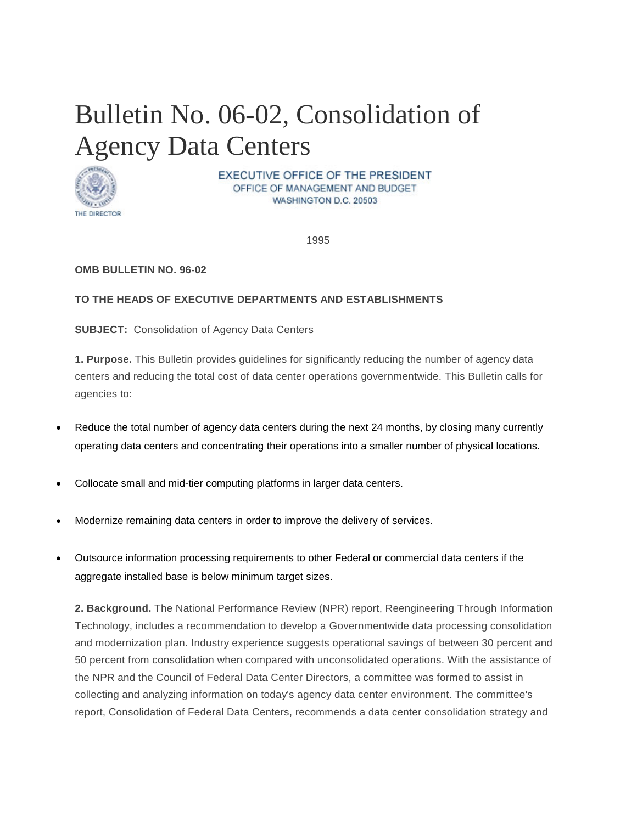# <span id="page-0-0"></span>Bulletin No. 06-02, Consolidation of Agency Data Centers



EXECUTIVE OFFICE OF THE PRESIDENT OFFICE OF MANAGEMENT AND BUDGET WASHINGTON D.C. 20503

1995

## **OMB BULLETIN NO. 96-02**

## **TO THE HEADS OF EXECUTIVE DEPARTMENTS AND ESTABLISHMENTS**

**SUBJECT:** Consolidation of Agency Data Centers

**1. Purpose.** This Bulletin provides guidelines for significantly reducing the number of agency data centers and reducing the total cost of data center operations governmentwide. This Bulletin calls for agencies to:

- Reduce the total number of agency data centers during the next 24 months, by closing many currently operating data centers and concentrating their operations into a smaller number of physical locations.
- Collocate small and mid-tier computing platforms in larger data centers.
- Modernize remaining data centers in order to improve the delivery of services.
- Outsource information processing requirements to other Federal or commercial data centers if the aggregate installed base is below minimum target sizes.

**2. Background.** The National Performance Review (NPR) report, Reengineering Through Information Technology, includes a recommendation to develop a Governmentwide data processing consolidation and modernization plan. Industry experience suggests operational savings of between 30 percent and 50 percent from consolidation when compared with unconsolidated operations. With the assistance of the NPR and the Council of Federal Data Center Directors, a committee was formed to assist in collecting and analyzing information on today's agency data center environment. The committee's report, Consolidation of Federal Data Centers, recommends a data center consolidation strategy and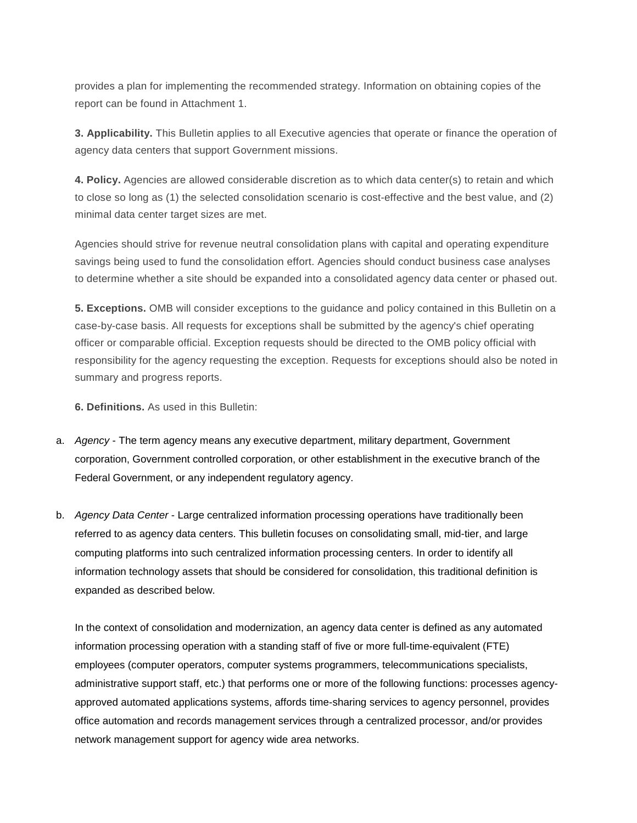provides a plan for implementing the recommended strategy. Information on obtaining copies of the report can be found in Attachment 1.

**3. Applicability.** This Bulletin applies to all Executive agencies that operate or finance the operation of agency data centers that support Government missions.

**4. Policy.** Agencies are allowed considerable discretion as to which data center(s) to retain and which to close so long as (1) the selected consolidation scenario is cost-effective and the best value, and (2) minimal data center target sizes are met.

Agencies should strive for revenue neutral consolidation plans with capital and operating expenditure savings being used to fund the consolidation effort. Agencies should conduct business case analyses to determine whether a site should be expanded into a consolidated agency data center or phased out.

**5. Exceptions.** OMB will consider exceptions to the guidance and policy contained in this Bulletin on a case-by-case basis. All requests for exceptions shall be submitted by the agency's chief operating officer or comparable official. Exception requests should be directed to the OMB policy official with responsibility for the agency requesting the exception. Requests for exceptions should also be noted in summary and progress reports.

**6. Definitions.** As used in this Bulletin:

- a. *Agency* The term agency means any executive department, military department, Government corporation, Government controlled corporation, or other establishment in the executive branch of the Federal Government, or any independent regulatory agency.
- b. *Agency Data Center* Large centralized information processing operations have traditionally been referred to as agency data centers. This bulletin focuses on consolidating small, mid-tier, and large computing platforms into such centralized information processing centers. In order to identify all information technology assets that should be considered for consolidation, this traditional definition is expanded as described below.

In the context of consolidation and modernization, an agency data center is defined as any automated information processing operation with a standing staff of five or more full-time-equivalent (FTE) employees (computer operators, computer systems programmers, telecommunications specialists, administrative support staff, etc.) that performs one or more of the following functions: processes agencyapproved automated applications systems, affords time-sharing services to agency personnel, provides office automation and records management services through a centralized processor, and/or provides network management support for agency wide area networks.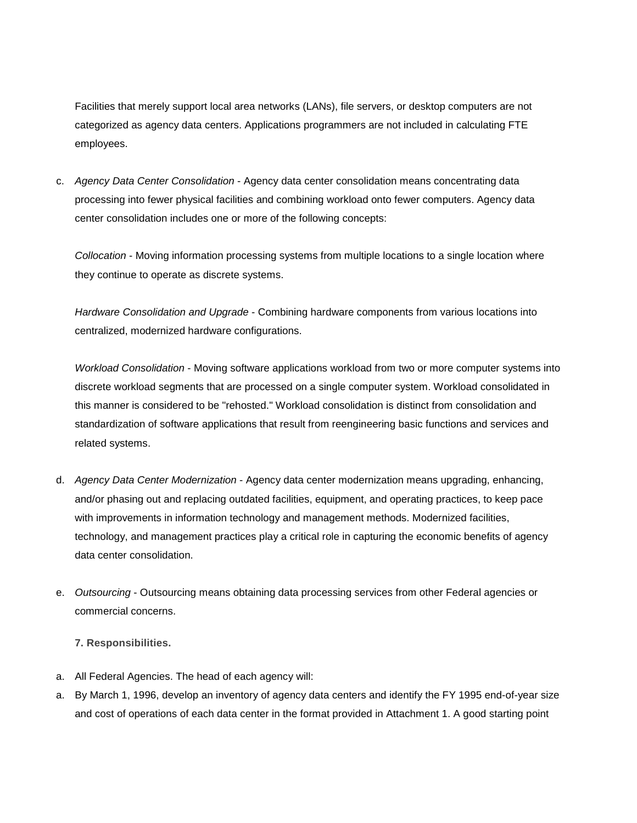Facilities that merely support local area networks (LANs), file servers, or desktop computers are not categorized as agency data centers. Applications programmers are not included in calculating FTE employees.

c. *Agency Data Center Consolidation* - Agency data center consolidation means concentrating data processing into fewer physical facilities and combining workload onto fewer computers. Agency data center consolidation includes one or more of the following concepts:

*Collocation* - Moving information processing systems from multiple locations to a single location where they continue to operate as discrete systems.

*Hardware Consolidation and Upgrade* - Combining hardware components from various locations into centralized, modernized hardware configurations.

*Workload Consolidation* - Moving software applications workload from two or more computer systems into discrete workload segments that are processed on a single computer system. Workload consolidated in this manner is considered to be "rehosted." Workload consolidation is distinct from consolidation and standardization of software applications that result from reengineering basic functions and services and related systems.

- d. *Agency Data Center Modernization* Agency data center modernization means upgrading, enhancing, and/or phasing out and replacing outdated facilities, equipment, and operating practices, to keep pace with improvements in information technology and management methods. Modernized facilities, technology, and management practices play a critical role in capturing the economic benefits of agency data center consolidation.
- e. *Outsourcing* Outsourcing means obtaining data processing services from other Federal agencies or commercial concerns.

## **7. Responsibilities.**

- a. All Federal Agencies. The head of each agency will:
- a. By March 1, 1996, develop an inventory of agency data centers and identify the FY 1995 end-of-year size and cost of operations of each data center in the format provided in Attachment 1. A good starting point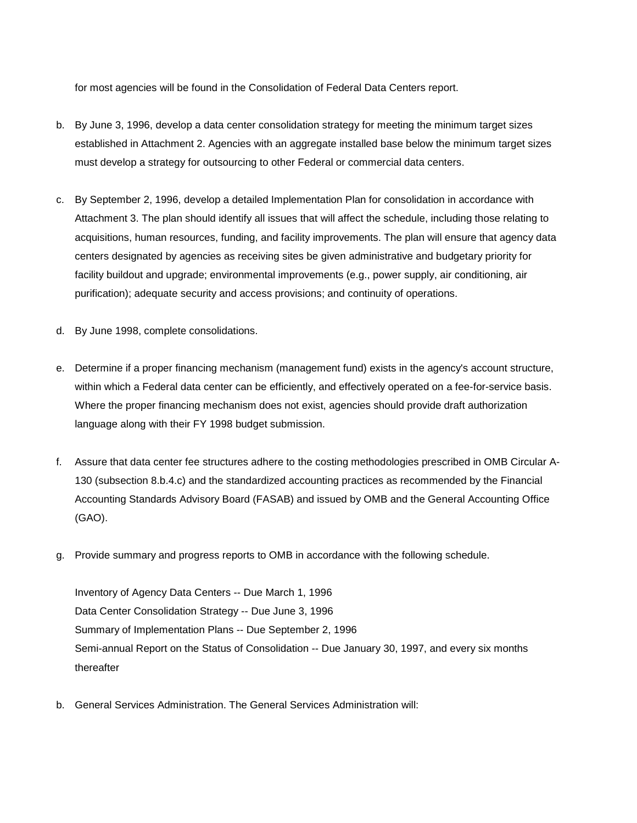for most agencies will be found in the Consolidation of Federal Data Centers report.

- b. By June 3, 1996, develop a data center consolidation strategy for meeting the minimum target sizes established in Attachment 2. Agencies with an aggregate installed base below the minimum target sizes must develop a strategy for outsourcing to other Federal or commercial data centers.
- c. By September 2, 1996, develop a detailed Implementation Plan for consolidation in accordance with Attachment 3. The plan should identify all issues that will affect the schedule, including those relating to acquisitions, human resources, funding, and facility improvements. The plan will ensure that agency data centers designated by agencies as receiving sites be given administrative and budgetary priority for facility buildout and upgrade; environmental improvements (e.g., power supply, air conditioning, air purification); adequate security and access provisions; and continuity of operations.
- d. By June 1998, complete consolidations.
- e. Determine if a proper financing mechanism (management fund) exists in the agency's account structure, within which a Federal data center can be efficiently, and effectively operated on a fee-for-service basis. Where the proper financing mechanism does not exist, agencies should provide draft authorization language along with their FY 1998 budget submission.
- f. Assure that data center fee structures adhere to the costing methodologies prescribed in OMB Circular A-130 (subsection 8.b.4.c) and the standardized accounting practices as recommended by the Financial Accounting Standards Advisory Board (FASAB) and issued by OMB and the General Accounting Office (GAO).
- g. Provide summary and progress reports to OMB in accordance with the following schedule.

Inventory of Agency Data Centers -- Due March 1, 1996 Data Center Consolidation Strategy -- Due June 3, 1996 Summary of Implementation Plans -- Due September 2, 1996 Semi-annual Report on the Status of Consolidation -- Due January 30, 1997, and every six months thereafter

b. General Services Administration. The General Services Administration will: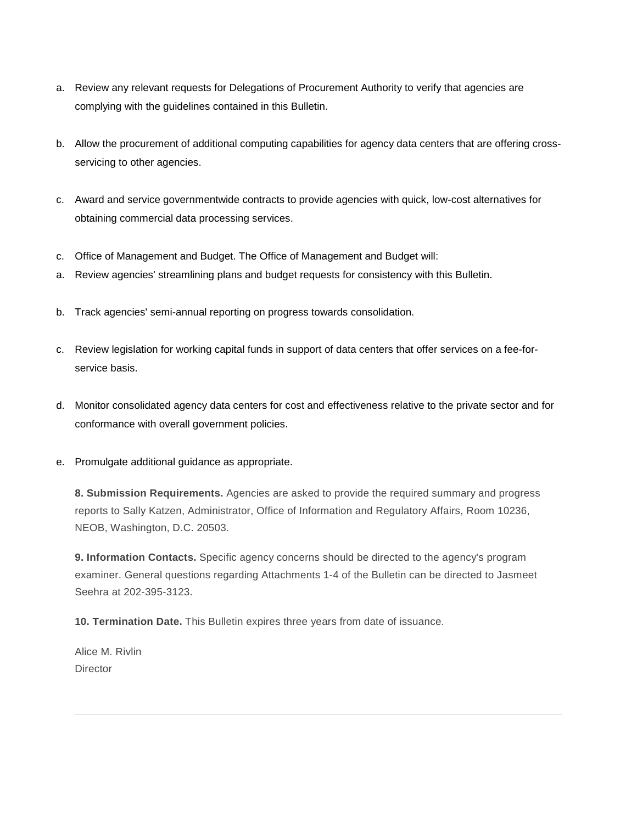- a. Review any relevant requests for Delegations of Procurement Authority to verify that agencies are complying with the guidelines contained in this Bulletin.
- b. Allow the procurement of additional computing capabilities for agency data centers that are offering crossservicing to other agencies.
- c. Award and service governmentwide contracts to provide agencies with quick, low-cost alternatives for obtaining commercial data processing services.
- c. Office of Management and Budget. The Office of Management and Budget will:
- a. Review agencies' streamlining plans and budget requests for consistency with this Bulletin.
- b. Track agencies' semi-annual reporting on progress towards consolidation.
- c. Review legislation for working capital funds in support of data centers that offer services on a fee-forservice basis.
- d. Monitor consolidated agency data centers for cost and effectiveness relative to the private sector and for conformance with overall government policies.
- e. Promulgate additional guidance as appropriate.

**8. Submission Requirements.** Agencies are asked to provide the required summary and progress reports to Sally Katzen, Administrator, Office of Information and Regulatory Affairs, Room 10236, NEOB, Washington, D.C. 20503.

**9. Information Contacts.** Specific agency concerns should be directed to the agency's program examiner. General questions regarding Attachments 1-4 of the Bulletin can be directed to Jasmeet Seehra at 202-395-3123.

**10. Termination Date.** This Bulletin expires three years from date of issuance.

Alice M. Rivlin **Director**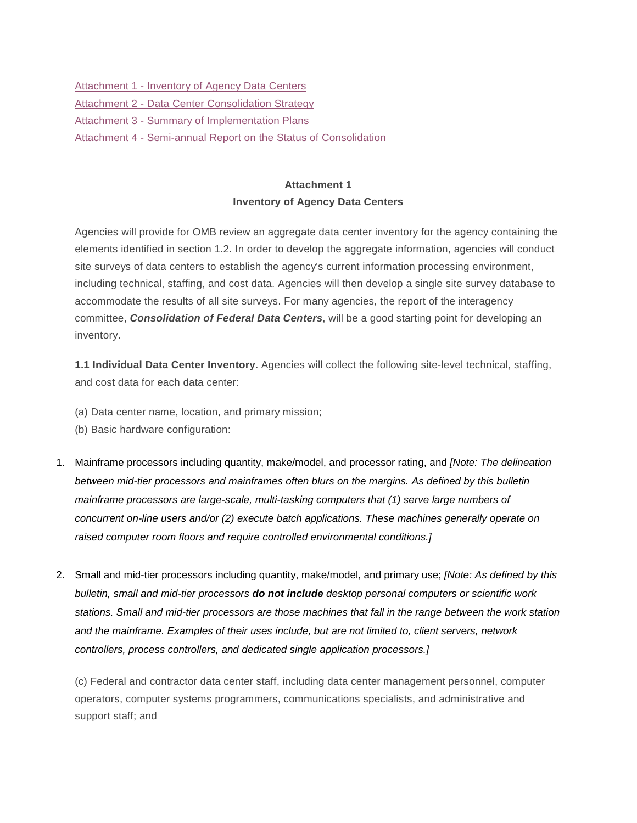Attachment 1 - [Inventory of Agency Data Centers](#page-5-0) **Attachment 2 - [Data Center Consolidation Strategy](#page-10-0)** Attachment 3 - [Summary of Implementation Plans](#page-12-0) Attachment 4 - [Semi-annual Report on the Status of Consolidation](#page-15-0)

## **Attachment 1 Inventory of Agency Data Centers**

<span id="page-5-0"></span>Agencies will provide for OMB review an aggregate data center inventory for the agency containing the elements identified in section 1.2. In order to develop the aggregate information, agencies will conduct site surveys of data centers to establish the agency's current information processing environment, including technical, staffing, and cost data. Agencies will then develop a single site survey database to accommodate the results of all site surveys. For many agencies, the report of the interagency committee, *Consolidation of Federal Data Centers*, will be a good starting point for developing an inventory.

**1.1 Individual Data Center Inventory.** Agencies will collect the following site-level technical, staffing, and cost data for each data center:

- (a) Data center name, location, and primary mission;
- (b) Basic hardware configuration:
- 1. Mainframe processors including quantity, make/model, and processor rating, and *[Note: The delineation between mid-tier processors and mainframes often blurs on the margins. As defined by this bulletin mainframe processors are large-scale, multi-tasking computers that (1) serve large numbers of concurrent on-line users and/or (2) execute batch applications. These machines generally operate on raised computer room floors and require controlled environmental conditions.]*
- 2. Small and mid-tier processors including quantity, make/model, and primary use; *[Note: As defined by this bulletin, small and mid-tier processors do not include desktop personal computers or scientific work stations. Small and mid-tier processors are those machines that fall in the range between the work station and the mainframe. Examples of their uses include, but are not limited to, client servers, network controllers, process controllers, and dedicated single application processors.]*

(c) Federal and contractor data center staff, including data center management personnel, computer operators, computer systems programmers, communications specialists, and administrative and support staff; and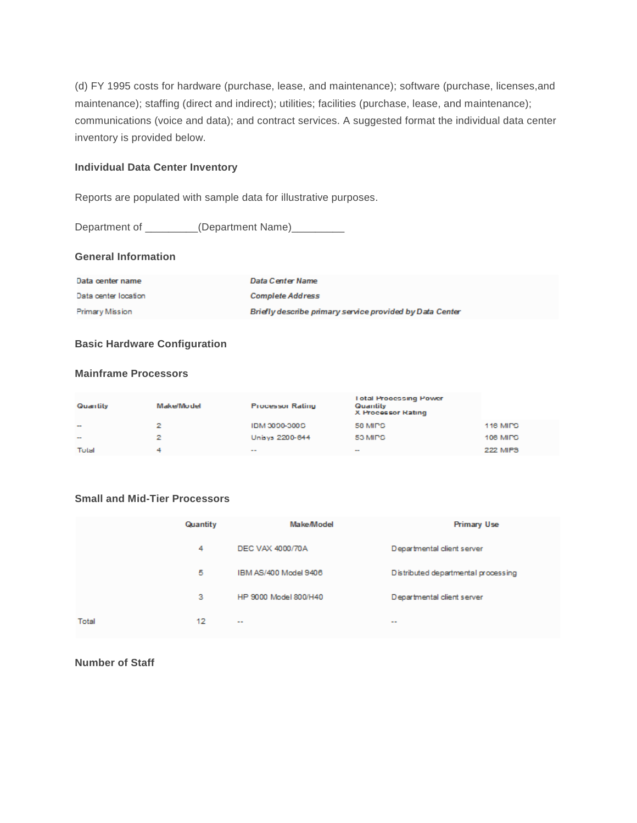(d) FY 1995 costs for hardware (purchase, lease, and maintenance); software (purchase, licenses,and maintenance); staffing (direct and indirect); utilities; facilities (purchase, lease, and maintenance); communications (voice and data); and contract services. A suggested format the individual data center inventory is provided below.

#### **Individual Data Center Inventory**

Reports are populated with sample data for illustrative purposes.

Department of \_\_\_\_\_\_\_\_(Department Name)\_\_\_\_\_\_\_\_\_

## **General Information**

| Data center name     | Data Center Name                                         |
|----------------------|----------------------------------------------------------|
| Data center location | <b>Complete Address</b>                                  |
| Primary Mission      | Briefly describe primary service provided by Data Center |

#### **Basic Hardware Configuration**

#### **Mainframe Processors**

| Quantity | Make/Model | <b>Processor Rating</b> | <b>Total Processing Power</b><br>Quantity<br>X Processor Rating |                 |
|----------|------------|-------------------------|-----------------------------------------------------------------|-----------------|
| $\sim$   | 2.         | C00C-0C0M HDI           | 58 MIPS                                                         | 116 MIPS        |
| $\sim$   | 2          | Unisys 2200-644         | 53 MIDS                                                         | 106 MIPS        |
| Total    |            | $- -$                   | $\sim$                                                          | <b>222 MIPS</b> |

## **Small and Mid-Tier Processors**

|       | Quantity | Make/Model            | Primary Use                                                         |
|-------|----------|-----------------------|---------------------------------------------------------------------|
|       | 4        | DEC VAX 4000/70A      | Departmental client server                                          |
|       | 5        | IBM AS/400 Model 9406 | Distributed departmental processing                                 |
|       | з        | HP 9000 Model 800/H40 | Departmental client server                                          |
| Total | 12       | $\sim$ $\sim$         | $\frac{1}{2} \left( \frac{1}{2} \right) \left( \frac{1}{2} \right)$ |

**Number of Staff**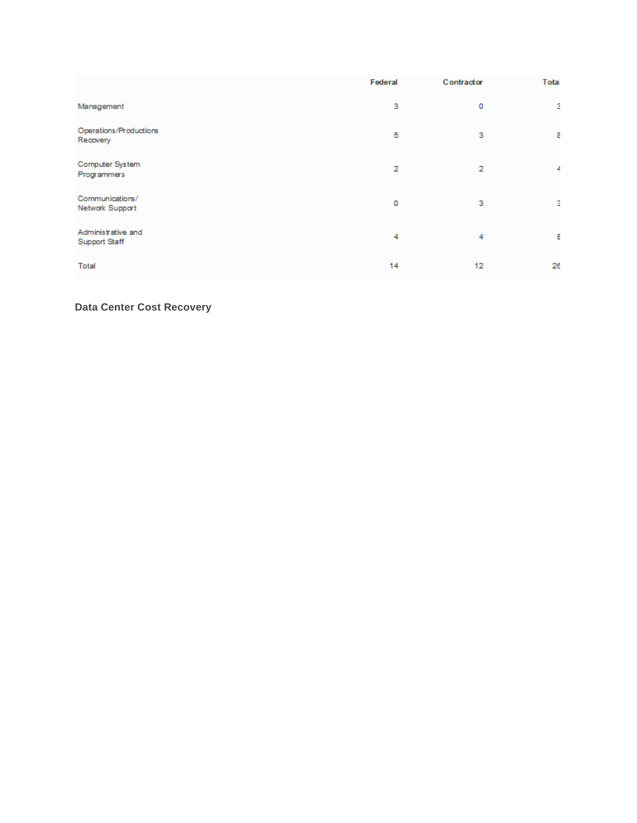|                                     | Federal        | Contractor | Total          |
|-------------------------------------|----------------|------------|----------------|
| Management                          | 3              | 0          | ÷.             |
| Operations/Productions<br>Recovery  | 5              | 3          | 8              |
| Computer System<br>Programmers      | $\overline{2}$ | 2          | $\overline{4}$ |
| Communications/<br>Network Support  | 0              | 3          | ÷.             |
| Administrative and<br>Support Staff | 4              | 4          | 8              |
| Total                               | 14             | 12         | 26             |

**Data Center Cost Recovery**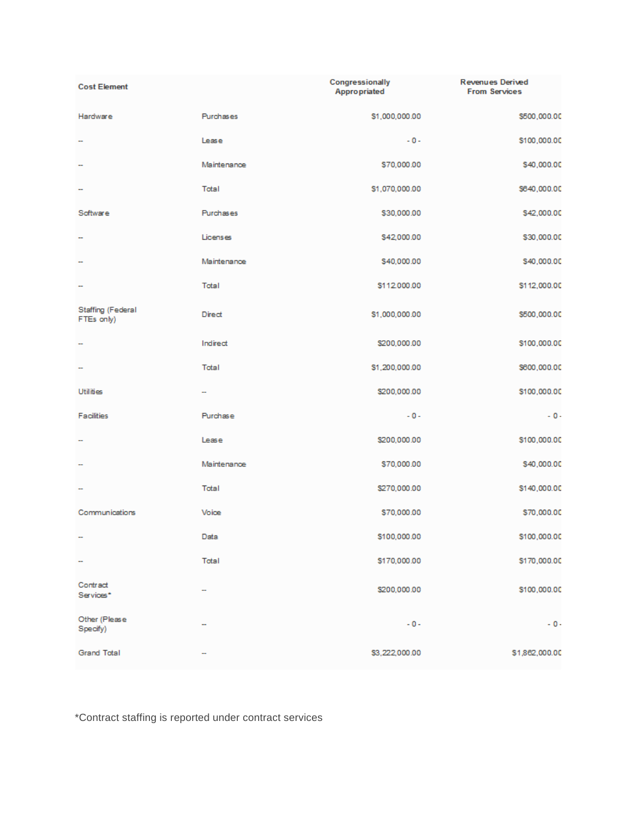| <b>Cost Element</b>                    |             | Congressionally<br><b>Appropriated</b> | <b>Revenues Derived</b><br><b>From Services</b> |
|----------------------------------------|-------------|----------------------------------------|-------------------------------------------------|
| Hardware                               | Purchases   | \$1,000,000.00                         | \$500,000.00                                    |
|                                        | Lease       | $-0-$                                  | \$100,000.00                                    |
| -                                      | Maintenance | \$70,000.00                            | \$40,000.00                                     |
|                                        | Total       | \$1,070,000.00                         | \$640,000.00                                    |
| Software                               | Purchases   | \$30,000.00                            | \$42,000.00                                     |
| ÷                                      | Licenses    | \$42,000.00                            | \$30,000.00                                     |
| ÷                                      | Maintenance | \$40,000.00                            | \$40,000.00                                     |
| ÷                                      | Total       | \$112,000.00                           | \$112,000.00                                    |
| <b>Staffing (Federal</b><br>FTEs only) | Direct      | \$1,000,000.00                         | \$500,000.00                                    |
| ÷                                      | Indirect    | \$200,000.00                           | \$100,000.00                                    |
| ÷                                      | Total       | \$1,200,000.00                         | \$600,000.00                                    |
| <b>Utilities</b>                       | ш,          | \$200,000.00                           | \$100,000.00                                    |
| Facilities                             | Purchase    | $-0-$                                  | $-0-$                                           |
|                                        | Lease       | \$200,000.00                           | \$100,000.00                                    |
| -                                      | Maintenance | \$70,000.00                            | \$40,000.00                                     |
|                                        | Total       | \$270,000.00                           | \$140,000.00                                    |
| Communications                         | Voice       | \$70,000.00                            | \$70,000.00                                     |
| ÷                                      | Data        | \$100,000.00                           | \$100,000.00                                    |
| ÷                                      | Total       | \$170,000.00                           | \$170,000.00                                    |
| Contract<br>Services*                  |             | \$200,000.00                           | \$100,000.00                                    |
| Other (Please<br>Specify)              |             | $-0-$                                  | $-0-$                                           |
| <b>Grand Total</b>                     |             | \$3,222,000.00                         | \$1,862,000.00                                  |

\*Contract staffing is reported under contract services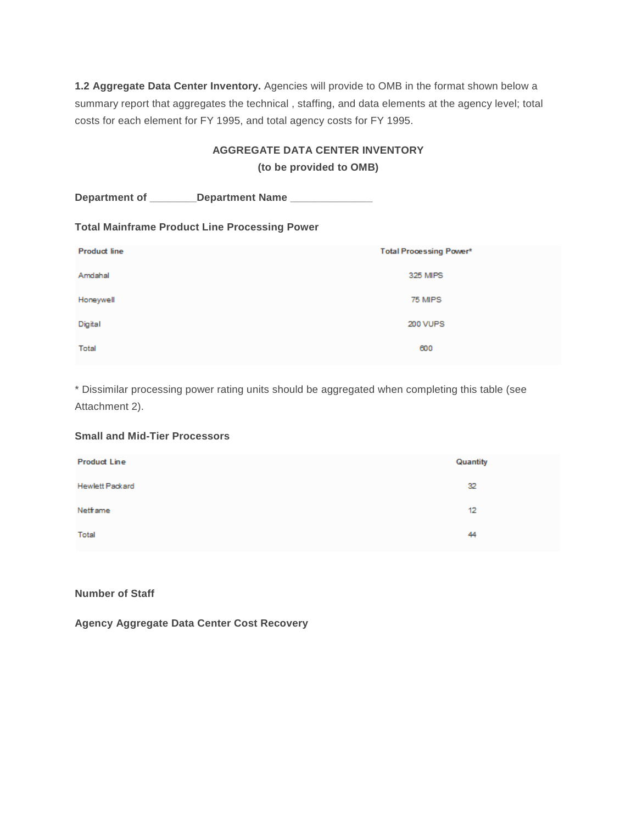**1.2 Aggregate Data Center Inventory.** Agencies will provide to OMB in the format shown below a summary report that aggregates the technical , staffing, and data elements at the agency level; total costs for each element for FY 1995, and total agency costs for FY 1995.

## **AGGREGATE DATA CENTER INVENTORY**

**(to be provided to OMB)**

| Department of _________Department Name ________________ |                                |
|---------------------------------------------------------|--------------------------------|
| <b>Total Mainframe Product Line Processing Power</b>    |                                |
| <b>Product line</b>                                     | <b>Total Processing Power*</b> |
| Amdahal                                                 | 325 MIPS                       |
| Honeywell                                               | 75 MIPS                        |
| Digital                                                 | 200 VUPS                       |
| Total                                                   | 600                            |

\* Dissimilar processing power rating units should be aggregated when completing this table (see Attachment 2).

## **Small and Mid-Tier Processors**

| <b>Product Line</b> | Quantity |
|---------------------|----------|
| Hewlett Packard     | 32       |
| Netframe            | 12       |
| Total               | 44       |

#### **Number of Staff**

**Agency Aggregate Data Center Cost Recovery**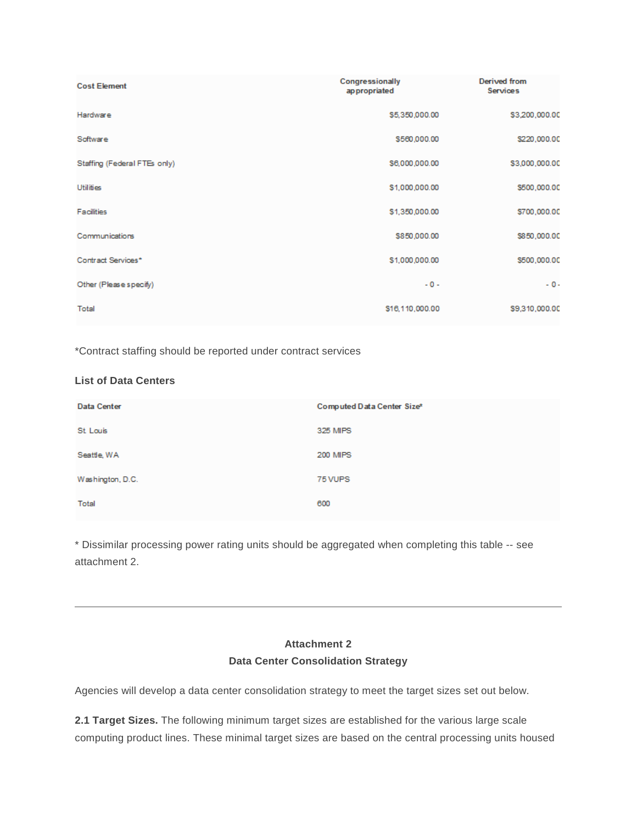| <b>Cost Element</b>          | Congressionally<br>appropriated | <b>Derived from</b><br><b>Services</b> |
|------------------------------|---------------------------------|----------------------------------------|
| Hardware                     | \$5,350,000.00                  | \$3,200,000.00                         |
| Software                     | \$560,000.00                    | \$220,000.00                           |
| Staffing (Federal FTEs only) | \$6,000,000.00                  | \$3,000,000.00                         |
| <b>Utilities</b>             | \$1,000,000.00                  | \$500,000.00                           |
| Facilities                   | \$1,350,000.00                  | \$700,000.00                           |
| Communications               | \$850,000.00                    | \$850,000.00                           |
| Contract Services*           | \$1,000,000.00                  | \$500,000.00                           |
| Other (Please specify)       | $-0-$                           | $-0-$                                  |
| Total                        | \$16,110,000.00                 | \$9,310,000.00                         |

\*Contract staffing should be reported under contract services

## **List of Data Centers**

| Data Center      | Computed Data Center Size* |
|------------------|----------------------------|
| St Louis         | 325 MIPS                   |
| Seattle, WA      | <b>200 MIPS</b>            |
| Washington, D.C. | 75 VUPS                    |
| Total            | 600                        |

\* Dissimilar processing power rating units should be aggregated when completing this table -- see attachment 2.

# **Attachment 2 Data Center Consolidation Strategy**

<span id="page-10-0"></span>Agencies will develop a data center consolidation strategy to meet the target sizes set out below.

**2.1 Target Sizes.** The following minimum target sizes are established for the various large scale computing product lines. These minimal target sizes are based on the central processing units housed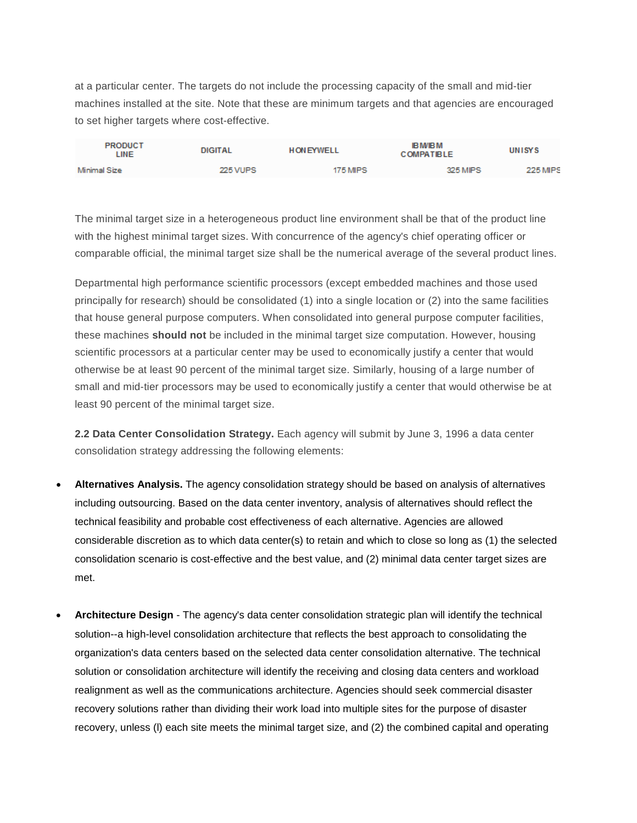at a particular center. The targets do not include the processing capacity of the small and mid-tier machines installed at the site. Note that these are minimum targets and that agencies are encouraged to set higher targets where cost-effective.

| <b>PRODUCT</b><br>LINE | <b>DIGITAL</b>  | <b>HON EYWELL</b> | <b>IB M/IB M</b><br><b>COMPATIBLE</b> | UNISYS          |
|------------------------|-----------------|-------------------|---------------------------------------|-----------------|
| Minimal Size           | <b>225 VUPS</b> | 175 MIPS          | 325 MIPS                              | <b>225 MIPS</b> |

The minimal target size in a heterogeneous product line environment shall be that of the product line with the highest minimal target sizes. With concurrence of the agency's chief operating officer or comparable official, the minimal target size shall be the numerical average of the several product lines.

Departmental high performance scientific processors (except embedded machines and those used principally for research) should be consolidated (1) into a single location or (2) into the same facilities that house general purpose computers. When consolidated into general purpose computer facilities, these machines **should not** be included in the minimal target size computation. However, housing scientific processors at a particular center may be used to economically justify a center that would otherwise be at least 90 percent of the minimal target size. Similarly, housing of a large number of small and mid-tier processors may be used to economically justify a center that would otherwise be at least 90 percent of the minimal target size.

**2.2 Data Center Consolidation Strategy.** Each agency will submit by June 3, 1996 a data center consolidation strategy addressing the following elements:

- **Alternatives Analysis.** The agency consolidation strategy should be based on analysis of alternatives including outsourcing. Based on the data center inventory, analysis of alternatives should reflect the technical feasibility and probable cost effectiveness of each alternative. Agencies are allowed considerable discretion as to which data center(s) to retain and which to close so long as (1) the selected consolidation scenario is cost-effective and the best value, and (2) minimal data center target sizes are met.
- **Architecture Design** The agency's data center consolidation strategic plan will identify the technical solution--a high-level consolidation architecture that reflects the best approach to consolidating the organization's data centers based on the selected data center consolidation alternative. The technical solution or consolidation architecture will identify the receiving and closing data centers and workload realignment as well as the communications architecture. Agencies should seek commercial disaster recovery solutions rather than dividing their work load into multiple sites for the purpose of disaster recovery, unless (l) each site meets the minimal target size, and (2) the combined capital and operating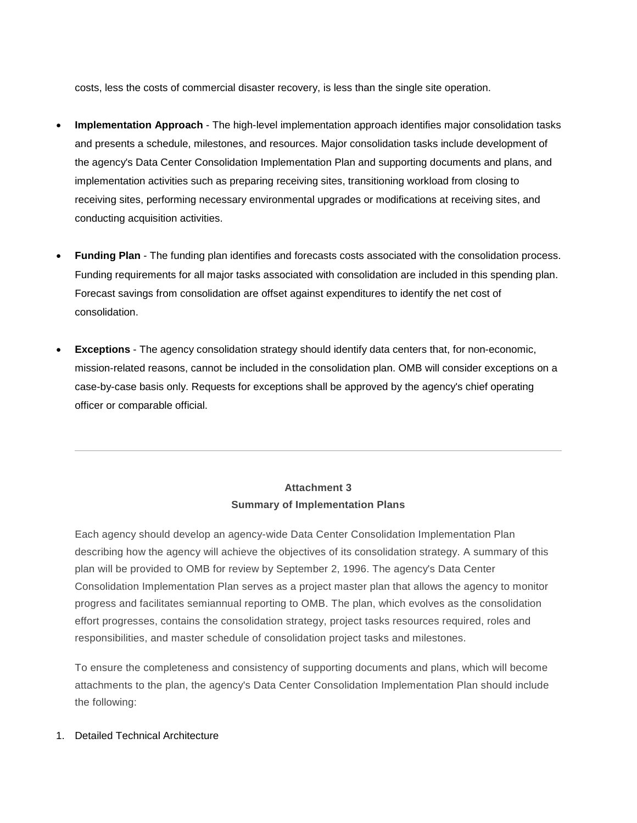costs, less the costs of commercial disaster recovery, is less than the single site operation.

- **Implementation Approach** The high-level implementation approach identifies major consolidation tasks and presents a schedule, milestones, and resources. Major consolidation tasks include development of the agency's Data Center Consolidation Implementation Plan and supporting documents and plans, and implementation activities such as preparing receiving sites, transitioning workload from closing to receiving sites, performing necessary environmental upgrades or modifications at receiving sites, and conducting acquisition activities.
- **Funding Plan** The funding plan identifies and forecasts costs associated with the consolidation process. Funding requirements for all major tasks associated with consolidation are included in this spending plan. Forecast savings from consolidation are offset against expenditures to identify the net cost of consolidation.
- **Exceptions** The agency consolidation strategy should identify data centers that, for non-economic, mission-related reasons, cannot be included in the consolidation plan. OMB will consider exceptions on a case-by-case basis only. Requests for exceptions shall be approved by the agency's chief operating officer or comparable official.

# **Attachment 3 Summary of Implementation Plans**

<span id="page-12-0"></span>Each agency should develop an agency-wide Data Center Consolidation Implementation Plan describing how the agency will achieve the objectives of its consolidation strategy. A summary of this plan will be provided to OMB for review by September 2, 1996. The agency's Data Center Consolidation Implementation Plan serves as a project master plan that allows the agency to monitor progress and facilitates semiannual reporting to OMB. The plan, which evolves as the consolidation effort progresses, contains the consolidation strategy, project tasks resources required, roles and responsibilities, and master schedule of consolidation project tasks and milestones.

To ensure the completeness and consistency of supporting documents and plans, which will become attachments to the plan, the agency's Data Center Consolidation Implementation Plan should include the following:

#### 1. Detailed Technical Architecture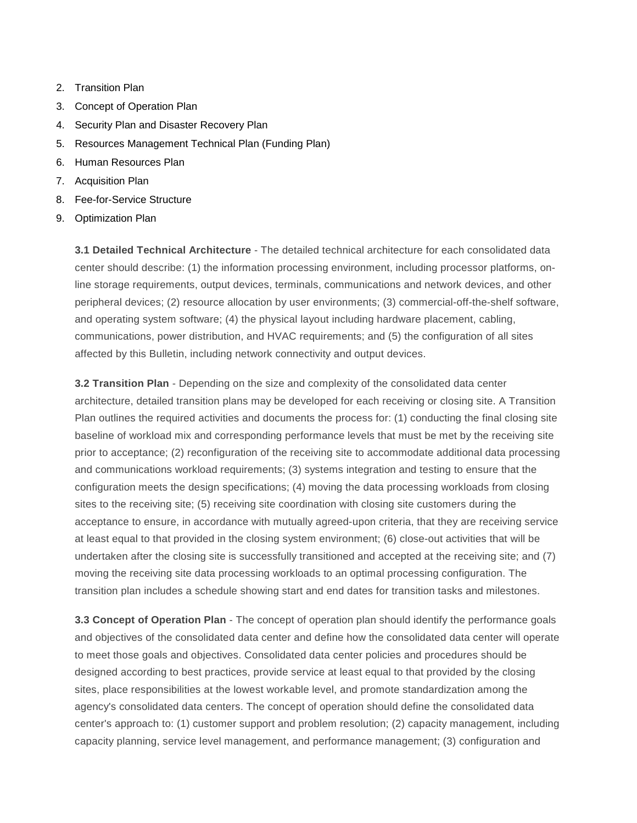- 2. Transition Plan
- 3. Concept of Operation Plan
- 4. Security Plan and Disaster Recovery Plan
- 5. Resources Management Technical Plan (Funding Plan)
- 6. Human Resources Plan
- 7. Acquisition Plan
- 8. Fee-for-Service Structure
- 9. Optimization Plan

**3.1 Detailed Technical Architecture** - The detailed technical architecture for each consolidated data center should describe: (1) the information processing environment, including processor platforms, online storage requirements, output devices, terminals, communications and network devices, and other peripheral devices; (2) resource allocation by user environments; (3) commercial-off-the-shelf software, and operating system software; (4) the physical layout including hardware placement, cabling, communications, power distribution, and HVAC requirements; and (5) the configuration of all sites affected by this Bulletin, including network connectivity and output devices.

**3.2 Transition Plan** - Depending on the size and complexity of the consolidated data center architecture, detailed transition plans may be developed for each receiving or closing site. A Transition Plan outlines the required activities and documents the process for: (1) conducting the final closing site baseline of workload mix and corresponding performance levels that must be met by the receiving site prior to acceptance; (2) reconfiguration of the receiving site to accommodate additional data processing and communications workload requirements; (3) systems integration and testing to ensure that the configuration meets the design specifications; (4) moving the data processing workloads from closing sites to the receiving site; (5) receiving site coordination with closing site customers during the acceptance to ensure, in accordance with mutually agreed-upon criteria, that they are receiving service at least equal to that provided in the closing system environment; (6) close-out activities that will be undertaken after the closing site is successfully transitioned and accepted at the receiving site; and (7) moving the receiving site data processing workloads to an optimal processing configuration. The transition plan includes a schedule showing start and end dates for transition tasks and milestones.

**3.3 Concept of Operation Plan** - The concept of operation plan should identify the performance goals and objectives of the consolidated data center and define how the consolidated data center will operate to meet those goals and objectives. Consolidated data center policies and procedures should be designed according to best practices, provide service at least equal to that provided by the closing sites, place responsibilities at the lowest workable level, and promote standardization among the agency's consolidated data centers. The concept of operation should define the consolidated data center's approach to: (1) customer support and problem resolution; (2) capacity management, including capacity planning, service level management, and performance management; (3) configuration and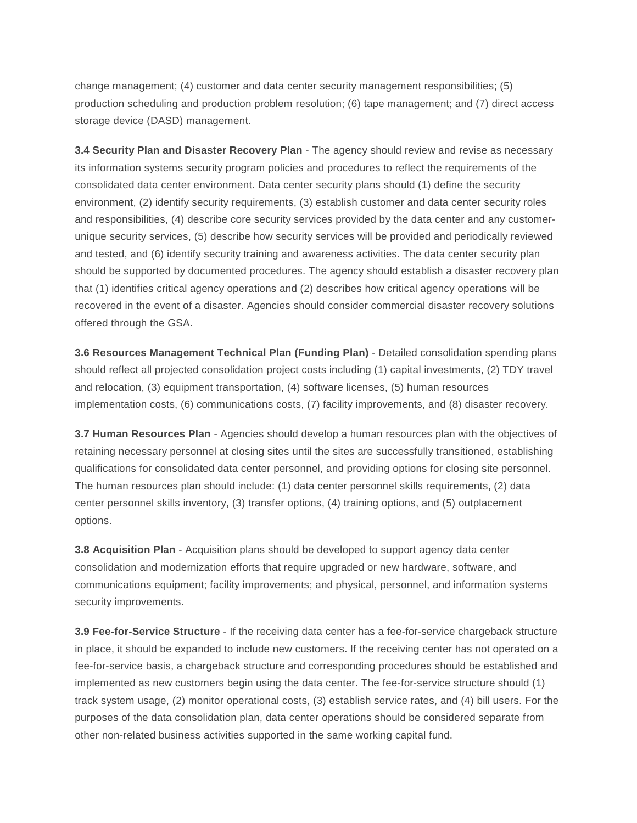change management; (4) customer and data center security management responsibilities; (5) production scheduling and production problem resolution; (6) tape management; and (7) direct access storage device (DASD) management.

**3.4 Security Plan and Disaster Recovery Plan** - The agency should review and revise as necessary its information systems security program policies and procedures to reflect the requirements of the consolidated data center environment. Data center security plans should (1) define the security environment, (2) identify security requirements, (3) establish customer and data center security roles and responsibilities, (4) describe core security services provided by the data center and any customerunique security services, (5) describe how security services will be provided and periodically reviewed and tested, and (6) identify security training and awareness activities. The data center security plan should be supported by documented procedures. The agency should establish a disaster recovery plan that (1) identifies critical agency operations and (2) describes how critical agency operations will be recovered in the event of a disaster. Agencies should consider commercial disaster recovery solutions offered through the GSA.

**3.6 Resources Management Technical Plan (Funding Plan)** - Detailed consolidation spending plans should reflect all projected consolidation project costs including (1) capital investments, (2) TDY travel and relocation, (3) equipment transportation, (4) software licenses, (5) human resources implementation costs, (6) communications costs, (7) facility improvements, and (8) disaster recovery.

**3.7 Human Resources Plan** - Agencies should develop a human resources plan with the objectives of retaining necessary personnel at closing sites until the sites are successfully transitioned, establishing qualifications for consolidated data center personnel, and providing options for closing site personnel. The human resources plan should include: (1) data center personnel skills requirements, (2) data center personnel skills inventory, (3) transfer options, (4) training options, and (5) outplacement options.

**3.8 Acquisition Plan** - Acquisition plans should be developed to support agency data center consolidation and modernization efforts that require upgraded or new hardware, software, and communications equipment; facility improvements; and physical, personnel, and information systems security improvements.

**3.9 Fee-for-Service Structure** - If the receiving data center has a fee-for-service chargeback structure in place, it should be expanded to include new customers. If the receiving center has not operated on a fee-for-service basis, a chargeback structure and corresponding procedures should be established and implemented as new customers begin using the data center. The fee-for-service structure should (1) track system usage, (2) monitor operational costs, (3) establish service rates, and (4) bill users. For the purposes of the data consolidation plan, data center operations should be considered separate from other non-related business activities supported in the same working capital fund.